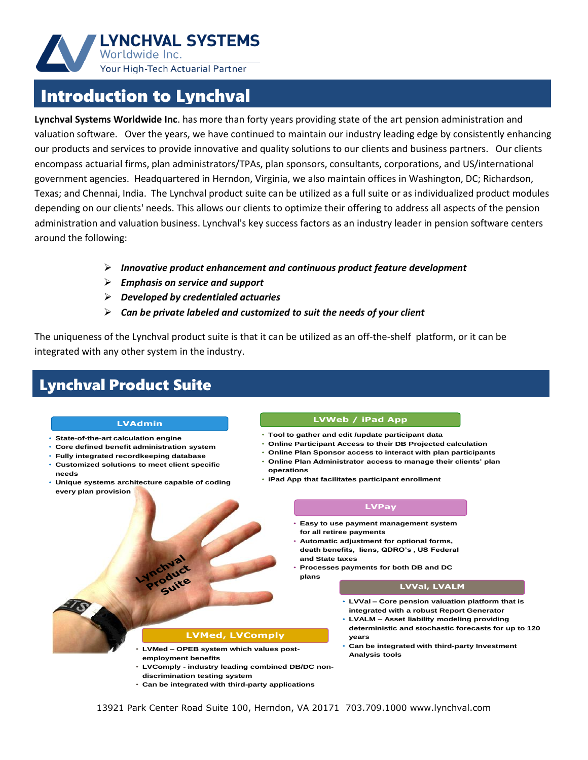

## Introduction to Lynchval

**Lynchval Systems Worldwide Inc**. has more than forty years providing state of the art pension administration and valuation software. Over the years, we have continued to maintain our industry leading edge by consistently enhancing our products and services to provide innovative and quality solutions to our clients and business partners. Our clients encompass actuarial firms, plan administrators/TPAs, plan sponsors, consultants, corporations, and US/international government agencies. Headquartered in Herndon, Virginia, we also maintain offices in Washington, DC; Richardson, Texas; and Chennai, India. The Lynchval product suite can be utilized as a full suite or as individualized product modules depending on our clients' needs. This allows our clients to optimize their offering to address all aspects of the pension administration and valuation business. Lynchval's key success factors as an industry leader in pension software centers around the following:

- *Innovative product enhancement and continuous product feature development*
- *Emphasis on service and support*
- *Developed by credentialed actuaries*
- *Can be private labeled and customized to suit the needs of your client*

The uniqueness of the Lynchval product suite is that it can be utilized as an off-the-shelf platform, or it can be integrated with any other system in the industry.

## Lynchval Product Suite

#### **LVAdmin**

- **State-of-the-art calculation engine**
- **Core defined benefit administration system**
- **Fully integrated recordkeeping database**
- **Customized solutions to meet client specific needs**
- **Unique systems architecture capable of coding every plan provision**

#### **LVWeb / iPad App**

- **Tool to gather and edit /update participant data**
- **Online Participant Access to their DB Projected calculation**
- **Online Plan Sponsor access to interact with plan participants**
- **Online Plan Administrator access to manage their clients' plan operations**
- **iPad App that facilitates participant enrollment**

#### **LVPay**

- **Easy to use payment management system for all retiree payments**
- **Automatic adjustment for optional forms, death benefits, liens, QDRO's , US Federal and State taxes**
- **Processes payments for both DB and DC**

#### **LVVal, LVALM**

- **LVVal – Core pension valuation platform that is integrated with a robust Report Generator**
- **LVALM – Asset liability modeling providing deterministic and stochastic forecasts for up to 120 years**
- **Can be integrated with third-party Investment Analysis tools**

### **LVMed, LVComply**

- **LVMed – OPEB system which values postemployment benefits**
- **LVComply - industry leading combined DB/DC non-**
- **discrimination testing system**
- **Can be integrated with third-party applications**

**plans**